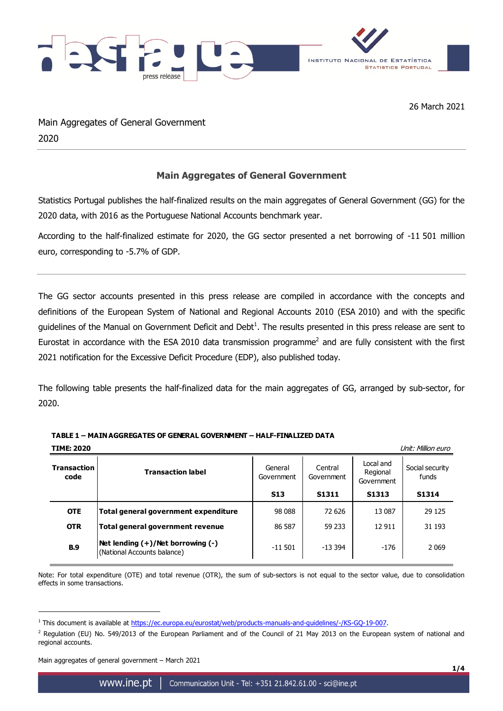

26 March 2021

Main Aggregates of General Government 2020

## **Main Aggregates of General Government**

Statistics Portugal publishes the half-finalized results on the main aggregates of General Government (GG) for the 2020 data, with 2016 as the Portuguese National Accounts benchmark year.

According to the half-finalized estimate for 2020, the GG sector presented a net borrowing of -11 501 million euro, corresponding to -5.7% of GDP.

The GG sector accounts presented in this press release are compiled in accordance with the concepts and definitions of the European System of National and Regional Accounts 2010 (ESA 2010) and with the specific guidelines of the Manual on Government Deficit and Debt<sup>1</sup>. The results presented in this press release are sent to Eurostat in accordance with the ESA 2010 data transmission programme<sup>2</sup> and are fully consistent with the first 2021 notification for the Excessive Deficit Procedure (EDP), also published today.

The following table presents the half-finalized data for the main aggregates of GG, arranged by sub-sector, for 2020.

| <b>TIME: 2020</b>          |                                                                       |                       |                       |                                     | Unit: Million euro       |
|----------------------------|-----------------------------------------------------------------------|-----------------------|-----------------------|-------------------------------------|--------------------------|
| <b>Transaction</b><br>code | <b>Transaction label</b>                                              | General<br>Government | Central<br>Government | Local and<br>Regional<br>Government | Social security<br>funds |
|                            |                                                                       | <b>S13</b>            | S <sub>1311</sub>     | S1313                               | <b>S1314</b>             |
| <b>OTE</b>                 | Total general government expenditure                                  | 98 088                | 72 626                | 13 087                              | 29 1 25                  |
| <b>OTR</b>                 | Total general government revenue                                      | 86 587                | 59 233                | 12 911                              | 31 193                   |
| <b>B.9</b>                 | Net lending $(+)/$ Net borrowing $(-)$<br>(National Accounts balance) | $-11501$              | $-13.394$             | $-176$                              | 2069                     |

**TABLE 1 – MAIN AGGREGATES OF GENERAL GOVERNMENT – HALF-FINALIZED DATA**

Note: For total expenditure (OTE) and total revenue (OTR), the sum of sub-sectors is not equal to the sector value, due to consolidation effects in some transactions.

Main aggregates of general government – March 2021

<u>.</u>

<sup>&</sup>lt;sup>1</sup> This document is available at [https://ec.europa.eu/eurostat/web/products-manuals-and-guidelines/-/KS-GQ-19-007.](https://ec.europa.eu/eurostat/web/products-manuals-and-guidelines/-/KS-GQ-19-007)

 $<sup>2</sup>$  Regulation (EU) No. 549/2013 of the European Parliament and of the Council of 21 May 2013 on the European system of national and</sup> regional accounts.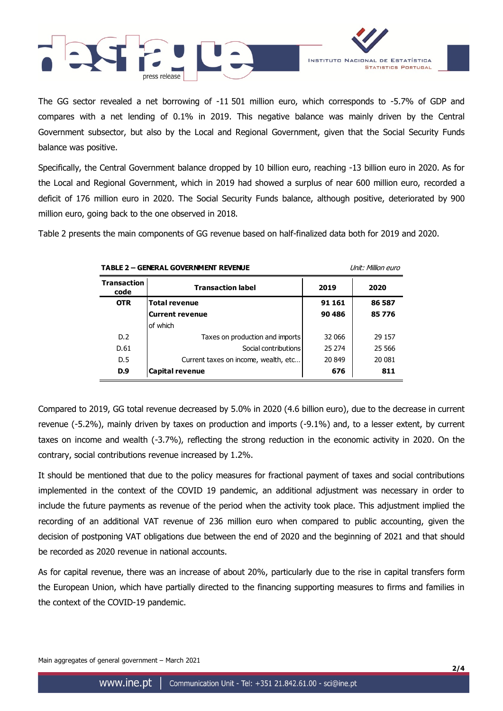



The GG sector revealed a net borrowing of -11 501 million euro, which corresponds to -5.7% of GDP and compares with a net lending of 0.1% in 2019. This negative balance was mainly driven by the Central Government subsector, but also by the Local and Regional Government, given that the Social Security Funds balance was positive.

Specifically, the Central Government balance dropped by 10 billion euro, reaching -13 billion euro in 2020. As for the Local and Regional Government, which in 2019 had showed a surplus of near 600 million euro, recorded a deficit of 176 million euro in 2020. The Social Security Funds balance, although positive, deteriorated by 900 million euro, going back to the one observed in 2018.

Table 2 presents the main components of GG revenue based on half-finalized data both for 2019 and 2020.

| <b>TABLE 2 - GENERAL GOVERNMENT REVENUE</b> |                                      | <b>Unit: Million euro</b> |          |
|---------------------------------------------|--------------------------------------|---------------------------|----------|
| <b>Transaction</b><br>code                  | <b>Transaction label</b>             | 2019                      | 2020     |
| <b>OTR</b>                                  | <b>Total revenue</b>                 | 91 161                    | 86 587   |
|                                             | Current revenue                      | 90 486                    | 85776    |
|                                             | of which                             |                           |          |
| D.2                                         | Taxes on production and imports      | 32 066                    | 29 157   |
| D.61                                        | Social contributions                 | 25 274                    | 25 5 6 6 |
| D.5                                         | Current taxes on income, wealth, etc | 20 849                    | 20 081   |
| D.9                                         | <b>Capital revenue</b>               | 676                       | 811      |

Compared to 2019, GG total revenue decreased by 5.0% in 2020 (4.6 billion euro), due to the decrease in current revenue (-5.2%), mainly driven by taxes on production and imports (-9.1%) and, to a lesser extent, by current taxes on income and wealth (-3.7%), reflecting the strong reduction in the economic activity in 2020. On the contrary, social contributions revenue increased by 1.2%.

It should be mentioned that due to the policy measures for fractional payment of taxes and social contributions implemented in the context of the COVID 19 pandemic, an additional adjustment was necessary in order to include the future payments as revenue of the period when the activity took place. This adjustment implied the recording of an additional VAT revenue of 236 million euro when compared to public accounting, given the decision of postponing VAT obligations due between the end of 2020 and the beginning of 2021 and that should be recorded as 2020 revenue in national accounts.

As for capital revenue, there was an increase of about 20%, particularly due to the rise in capital transfers form the European Union, which have partially directed to the financing supporting measures to firms and families in the context of the COVID-19 pandemic.

Main aggregates of general government – March 2021

**2/4**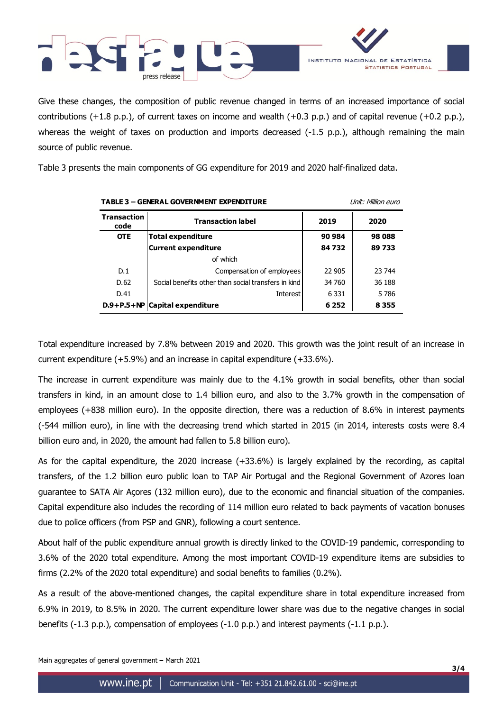

Give these changes, the composition of public revenue changed in terms of an increased importance of social contributions  $(+1.8 \text{ p.p.})$ , of current taxes on income and wealth  $(+0.3 \text{ p.p.})$  and of capital revenue  $(+0.2 \text{ p.p.})$ , whereas the weight of taxes on production and imports decreased (-1.5 p.p.), although remaining the main source of public revenue.

Table 3 presents the main components of GG expenditure for 2019 and 2020 half-finalized data.

| <b>TABLE 3 - GENERAL GOVERNMENT EXPENDITURE</b> |                                                     | Unit: Million euro |         |  |
|-------------------------------------------------|-----------------------------------------------------|--------------------|---------|--|
| <b>Transaction</b><br>code                      | <b>Transaction label</b>                            | 2019               | 2020    |  |
| <b>OTE</b>                                      | <b>Total expenditure</b>                            | 90 984             | 98 088  |  |
|                                                 | <b>Current expenditure</b>                          | 84732              | 89733   |  |
|                                                 | of which                                            |                    |         |  |
| D.1                                             | Compensation of employees                           | 22 905             | 23 744  |  |
| D.62                                            | Social benefits other than social transfers in kind | 34 760             | 36 188  |  |
| D.41                                            | <b>Interest</b>                                     | 6 3 3 1            | 5786    |  |
|                                                 | $D.9+P.5+NP$ Capital expenditure                    | 6 2 5 2            | 8 3 5 5 |  |

Total expenditure increased by 7.8% between 2019 and 2020. This growth was the joint result of an increase in current expenditure (+5.9%) and an increase in capital expenditure (+33.6%).

The increase in current expenditure was mainly due to the 4.1% growth in social benefits, other than social transfers in kind, in an amount close to 1.4 billion euro, and also to the 3.7% growth in the compensation of employees (+838 million euro). In the opposite direction, there was a reduction of 8.6% in interest payments (-544 million euro), in line with the decreasing trend which started in 2015 (in 2014, interests costs were 8.4 billion euro and, in 2020, the amount had fallen to 5.8 billion euro).

As for the capital expenditure, the 2020 increase (+33.6%) is largely explained by the recording, as capital transfers, of the 1.2 billion euro public loan to TAP Air Portugal and the Regional Government of Azores loan guarantee to SATA Air Açores (132 million euro), due to the economic and financial situation of the companies. Capital expenditure also includes the recording of 114 million euro related to back payments of vacation bonuses due to police officers (from PSP and GNR), following a court sentence.

About half of the public expenditure annual growth is directly linked to the COVID-19 pandemic, corresponding to 3.6% of the 2020 total expenditure. Among the most important COVID-19 expenditure items are subsidies to firms (2.2% of the 2020 total expenditure) and social benefits to families (0.2%).

As a result of the above-mentioned changes, the capital expenditure share in total expenditure increased from 6.9% in 2019, to 8.5% in 2020. The current expenditure lower share was due to the negative changes in social benefits (-1.3 p.p.), compensation of employees (-1.0 p.p.) and interest payments (-1.1 p.p.).

Main aggregates of general government – March 2021